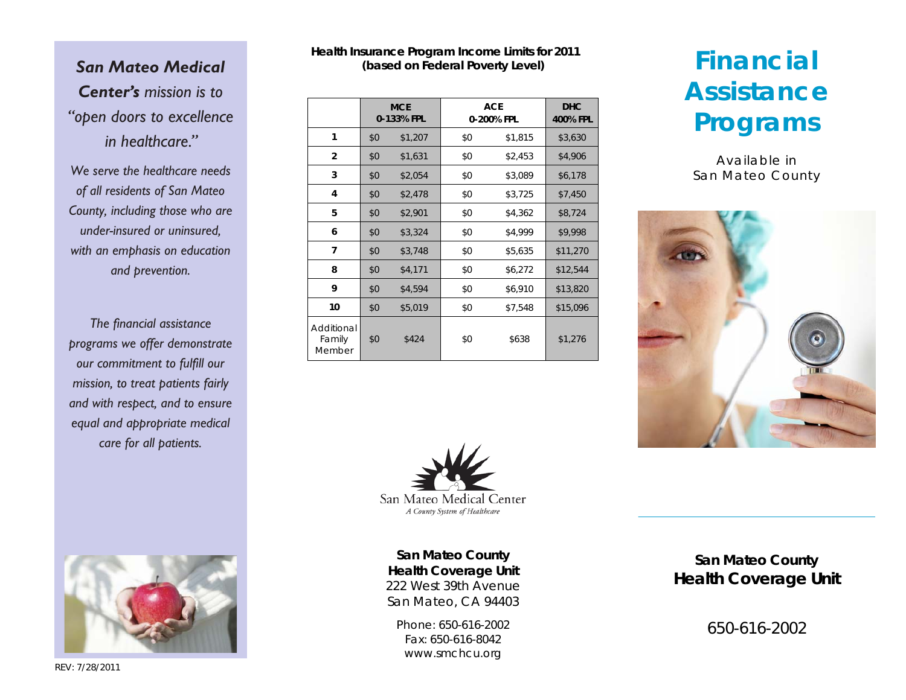# *San Mateo Medical Center's mission is to "open doors to excellence in healthcare."*

*We serve the healthcare needs of all residents of San Mateo County, including those who are under-insured or uninsured, with an emphasis on education and prevention.* 

*The financial assistance programs we offer demonstrate our commitment to fulfill our mission, to treat patients fairly and with respect, and to ensure equal and appropriate medical care for all patients.*

## **Health Insurance Program Income Limits for 2011 (based on Federal Poverty Level)**

|                                | <b>MCE</b><br>0-133% FPL |         | <b>ACE</b><br>0-200% FPL |         | <b>DHC</b><br>400% FPL |
|--------------------------------|--------------------------|---------|--------------------------|---------|------------------------|
| 1                              | \$0                      | \$1,207 | \$0                      | \$1,815 | \$3,630                |
| $\overline{2}$                 | \$0                      | \$1,631 | \$0                      | \$2,453 | \$4,906                |
| 3                              | \$0                      | \$2,054 | \$0                      | \$3,089 | \$6,178                |
| 4                              | \$0                      | \$2,478 | \$0                      | \$3,725 | \$7,450                |
| 5                              | \$0                      | \$2,901 | \$0                      | \$4,362 | \$8,724                |
| 6                              | \$0                      | \$3,324 | \$0                      | \$4,999 | \$9,998                |
| 7                              | \$0                      | \$3,748 | \$0                      | \$5,635 | \$11,270               |
| 8                              | \$0                      | \$4,171 | \$0                      | \$6,272 | \$12,544               |
| 9                              | \$0                      | \$4,594 | \$0                      | \$6,910 | \$13,820               |
| 10                             | \$0                      | \$5,019 | \$0                      | \$7,548 | \$15,096               |
| Additional<br>Family<br>Member | \$0                      | \$424   | \$0                      | \$638   | \$1,276                |



**San Mateo County Health Coverage Unit**  222 West 39th Avenue San Mateo, CA 94403

Phone: 650-616-2002 Fax: 650-616-8042 www.smchcu.org

# **San Mateo County Health Coverage Unit**

650-616-2002



Available in San Mateo County





REV: 7/28/2011